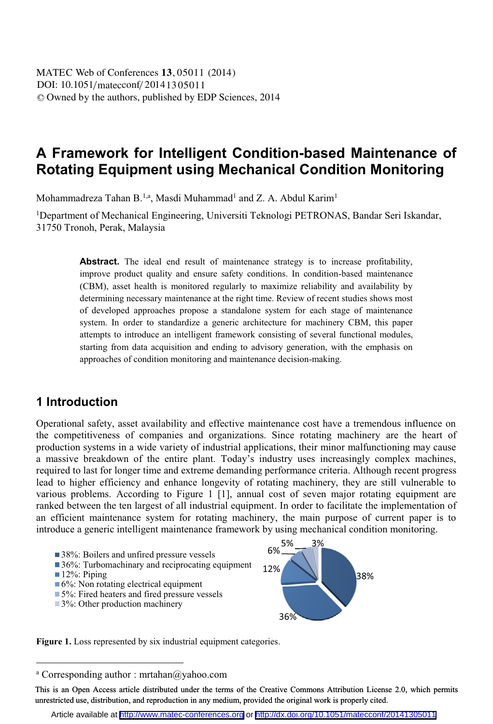# **A Framework for Intelligent Condition-based Maintenance of Rotating Equipment using Mechanical Condition Monitoring**

Mohammadreza Tahan B.<sup>1,a</sup>, Masdi Muhammad<sup>1</sup> and Z. A. Abdul Karim<sup>1</sup>

<sup>1</sup>Department of Mechanical Engineering, Universiti Teknologi PETRONAS, Bandar Seri Iskandar, 31750 Tronoh, Perak, Malaysia

> Abstract. The ideal end result of maintenance strategy is to increase profitability, improve product quality and ensure safety conditions. In condition-based maintenance (CBM), asset health is monitored regularly to maximize reliability and availability by determining necessary maintenance at the right time. Review of recent studies shows most of developed approaches propose a standalone system for each stage of maintenance system. In order to standardize a generic architecture for machinery CBM, this paper attempts to introduce an intelligent framework consisting of several functional modules, starting from data acquisition and ending to advisory generation, with the emphasis on approaches of condition monitoring and maintenance decision-making.

## **1 Introduction**

 $\overline{a}$ 

Operational safety, asset availability and effective maintenance cost have a tremendous influence on the competitiveness of companies and organizations. Since rotating machinery are the heart of production systems in a wide variety of industrial applications, their minor malfunctioning may cause a massive breakdown of the entire plant. Today's industry uses increasingly complex machines, required to last for longer time and extreme demanding performance criteria. Although recent progress lead to higher efficiency and enhance longevity of rotating machinery, they are still vulnerable to various problems. According to Figure 1 [1], annual cost of seven major rotating equipment are ranked between the ten largest of all industrial equipment. In order to facilitate the implementation of an efficient maintenance system for rotating machinery, the main purpose of current paper is to introduce a generic intelligent maintenance framework by using mechanical condition monitoring.



Figure 1. Loss represented by six industrial equipment categories.

a Corresponding author : mrtahan@yahoo.com

This is an Open Access article distributed under the terms of the Creative Commons Attribution License 2.0, which permits unrestricted use, distribution, and reproduction in any medium, provided the original work is properly cited.

Article available at <http://www.matec-conferences.org> or <http://dx.doi.org/10.1051/matecconf/20141305011>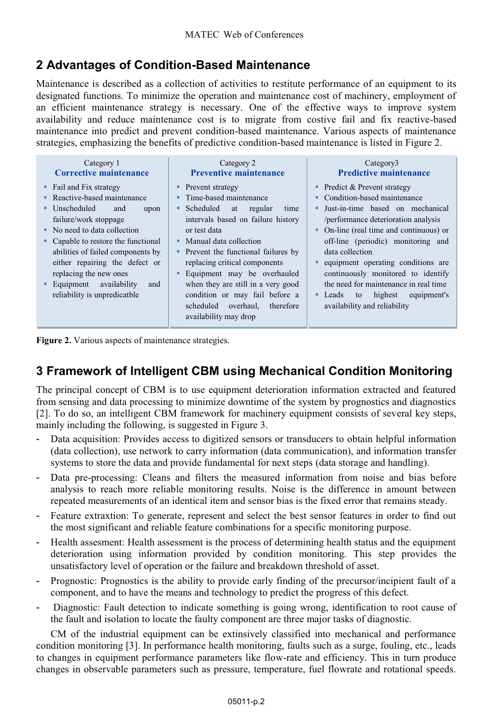# **2 Advantages of Condition-Based Maintenance**

Maintenance is described as a collection of activities to restitute performance of an equipment to its designated functions. To minimize the operation and maintenance cost of machinery, employment of an efficient maintenance strategy is necessary. One of the effective ways to improve system availability and reduce maintenance cost is to migrate from costive fail and fix reactive-based maintenance into predict and prevent condition-based maintenance. Various aspects of maintenance strategies, emphasizing the benefits of predictive condition-based maintenance is listed in Figure 2.

| Category 1                                                                                                                                                                                                                                                                                                                                                       | Category 2                                                                                                                                                                                                                                                                                                                                                                                                                            | Category3                                                                                                                                                                                                                                                                                                                                                                                                                                             |  |  |
|------------------------------------------------------------------------------------------------------------------------------------------------------------------------------------------------------------------------------------------------------------------------------------------------------------------------------------------------------------------|---------------------------------------------------------------------------------------------------------------------------------------------------------------------------------------------------------------------------------------------------------------------------------------------------------------------------------------------------------------------------------------------------------------------------------------|-------------------------------------------------------------------------------------------------------------------------------------------------------------------------------------------------------------------------------------------------------------------------------------------------------------------------------------------------------------------------------------------------------------------------------------------------------|--|--|
| Corrective maintenance                                                                                                                                                                                                                                                                                                                                           | <b>Preventive maintenance</b>                                                                                                                                                                                                                                                                                                                                                                                                         | <b>Predictive maintenance</b>                                                                                                                                                                                                                                                                                                                                                                                                                         |  |  |
| • Fail and Fix strategy<br>Reactive-based maintenance<br>Unscheduled<br>and<br>upon<br>failure/work stoppage<br>$\blacksquare$ No need to data collection<br>Capable to restore the functional<br>abilities of failed components by<br>either repairing the defect or<br>replacing the new ones<br>Equipment availability<br>and<br>reliability is unpredicatble | • Prevent strategy<br>• Time-based maintenance<br>• Scheduled<br>at<br>regular<br>time<br>intervals based on failure history<br>or test data<br>$\blacksquare$ Manual data collection<br>• Prevent the functional failures by<br>replacing critical components<br>Equipment may be overhauled<br>when they are still in a very good<br>condition or may fail before a<br>scheduled<br>overhaul.<br>therefore<br>availability may drop | $\blacksquare$ Predict & Prevent strategy<br>Condition-based maintenance<br>Just-in-time based on mechanical<br>/performance deterioration analysis<br>On-line (real time and continuous) or<br>off-line (periodic) monitoring and<br>data collection<br>equipment operating conditions are<br>continuously monitored to identify<br>the need for maintenance in real time<br>highest<br>equipment's<br>• Leads<br>to<br>availability and reliability |  |  |

**Figure 2.** Various aspects of maintenance strategies.

# **3 Framework of Intelligent CBM using Mechanical Condition Monitoring**

The principal concept of CBM is to use equipment deterioration information extracted and featured from sensing and data processing to minimize downtime of the system by prognostics and diagnostics [2]. To do so, an intelligent CBM framework for machinery equipment consists of several key steps, mainly including the following, is suggested in Figure 3.

- Data acquisition: Provides access to digitized sensors or transducers to obtain helpful information (data collection), use network to carry information (data communication), and information transfer systems to store the data and provide fundamental for next steps (data storage and handling).
- Data pre-processing: Cleans and filters the measured information from noise and bias before analysis to reach more reliable monitoring results. Noise is the difference in amount between repeated measurements of an identical item and sensor bias is the fixed error that remains steady.
- Feature extraxtion: To generate, represent and select the best sensor features in order to find out the most significant and reliable feature combinations for a specific monitoring purpose.
- Health assesment: Health assessment is the process of determining health status and the equipment deterioration using information provided by condition monitoring. This step provides the unsatisfactory level of operation or the failure and breakdown threshold of asset.
- Prognostic: Prognostics is the ability to provide early finding of the precursor/incipient fault of a component, and to have the means and technology to predict the progress of this defect.
- Diagnostic: Fault detection to indicate something is going wrong, identification to root cause of the fault and isolation to locate the faulty component are three major tasks of diagnostic.

CM of the industrial equipment can be extinsively classified into mechanical and performance condition monitoring [3]. In performance health monitoring, faults such as a surge, fouling, etc., leads to changes in equipment performance parameters like flow-rate and efficiency. This in turn produce changes in observable parameters such as pressure, temperature, fuel flowrate and rotational speeds.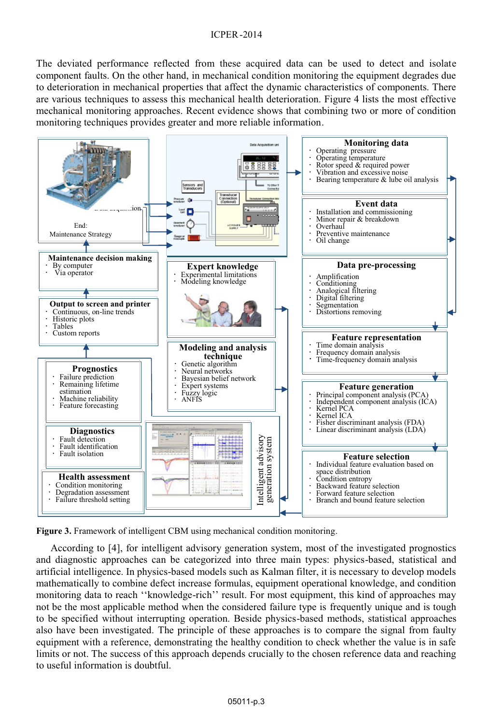The deviated performance reflected from these acquired data can be used to detect and isolate component faults. On the other hand, in mechanical condition monitoring the equipment degrades due to deterioration in mechanical properties that affect the dynamic characteristics of components. There are various techniques to assess this mechanical health deterioration. Figure 4 lists the most effective mechanical monitoring approaches. Recent evidence shows that combining two or more of condition monitoring techniques provides greater and more reliable information.



**Figure 3.** Framework of intelligent CBM using mechanical condition monitoring.

According to [4], for intelligent advisory generation system, most of the investigated prognostics and diagnostic approaches can be categorized into three main types: physics-based, statistical and artificial intelligence. In physics-based models such as Kalman filter, it is necessary to develop models mathematically to combine defect increase formulas, equipment operational knowledge, and condition monitoring data to reach ''knowledge-rich'' result. For most equipment, this kind of approaches may not be the most applicable method when the considered failure type is frequently unique and is tough to be specified without interrupting operation. Beside physics-based methods, statistical approaches also have been investigated. The principle of these approaches is to compare the signal from faulty equipment with a reference, demonstrating the healthy condition to check whether the value is in safe limits or not. The success of this approach depends crucially to the chosen reference data and reaching to useful information is doubtful.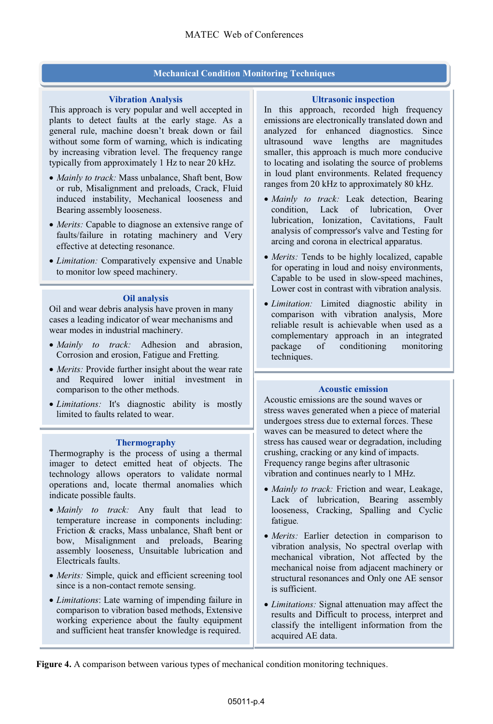### **Mechanical Condition Monitoring Techniques**

#### **Vibration Analysis**

This approach is very popular and well accepted in plants to detect faults at the early stage. As a general rule, machine doesn't break down or fail without some form of warning, which is indicating by increasing vibration level. The frequency range typically from approximately 1 Hz to near 20 kHz.

- *Mainly to track:* Mass unbalance, Shaft bent, Bow<br>or rub. Misalignment and preloads. Crack, Fluid. or rub, Misalignment and preloads, Crack, Fluid induced instability, Mechanical looseness and Bearing assembly looseness.
- *Merits:* Capable to diagnose an extensive range of faults/failure in rotating machinery and Very faults/failure in rotating machinery and Very effective at detecting resonance.
- *Limitation:* Comparatively expensive and Unable to monitor low speed machinery to monitor low speed machinery.

#### **Oil analysis**

Oil and wear debris analysis have proven in many cases a leading indicator of wear mechanisms and wear modes in industrial machinery.

- *Mainly to track:* Adhesion and abrasion, Corrosion and erosion. Fatigue and Fretting Corrosion and erosion, Fatigue and Fretting*.*
- Merits: Provide further insight about the wear rate • *Merits:* Provide further insight about the wear rate and Required lower initial investment in comparison to the other methods.
- *Limitations:* It's diagnostic ability is mostly limited to faults related to wear limited to faults related to wear.

#### **Thermography**

Thermography is the process of using a thermal imager to detect emitted heat of objects. The technology allows operators to validate normal operations and, locate thermal anomalies which indicate possible faults.

- *Mainly to track:* Any fault that lead to temperature increase in components including temperature increase in components including: Friction & cracks, Mass unbalance, Shaft bent or bow, Misalignment and preloads, Bearing assembly looseness, Unsuitable lubrication and Electricals faults.
- *Merits:* Simple, quick and efficient screening tool since is a non-contact remote sensing since is a non-contact remote sensing.
- *Limitations*: Late warning of impending failure in comparison to vibration based methods, Extensive working experience about the faulty equipment and sufficient heat transfer knowledge is required.

#### **Ultrasonic inspection**

In this approach, recorded high frequency emissions are electronically translated down and analyzed for enhanced diagnostics. Since ultrasound wave lengths are magnitudes smaller, this approach is much more conducive to locating and isolating the source of problems in loud plant environments. Related frequency ranges from 20 kHz to approximately 80 kHz.

- *Mainly to track:* Leak detection, Bearing<br>condition Lack of lubrication Over condition, Lack of lubrication, Over lubrication, Ionization, Cavitations, Fault analysis of compressor's valve and Testing for arcing and corona in electrical apparatus.
- *Merits:* Tends to be highly localized, capable<br>for operating in loud and noisy environments for operating in loud and noisy environments, Capable to be used in slow-speed machines, Lower cost in contrast with vibration analysis.
- *Limitation:* Limited diagnostic ability in comparison with vibration analysis More comparison with vibration analysis, More reliable result is achievable when used as a complementary approach in an integrated package of conditioning monitoring techniques.

### **Acoustic emission**

Acoustic emissions are the sound waves or stress waves generated when a piece of material undergoes stress due to external forces. These waves can be measured to detect where the stress has caused wear or degradation, including crushing, cracking or any kind of impacts. Frequency range begins after ultrasonic vibration and continues nearly to 1 MHz.

- *Mainly to track:* Friction and wear, Leakage,<br>Lack of lubrication Bearing assembly Lack of lubrication, Bearing assembly looseness, Cracking, Spalling and Cyclic fatigue*.*
- *Merits:* Earlier detection in comparison to vibration analysis. No spectral overlap with vibration analysis, No spectral overlap with mechanical vibration, Not affected by the mechanical noise from adjacent machinery or structural resonances and Only one AE sensor is sufficient.
- *Limitations:* Signal attenuation may affect the results and Difficult to process interpret and results and Difficult to process, interpret and classify the intelligent information from the acquired AE data.

**Figure 4.** A comparison between various types of mechanical condition monitoring techniques.